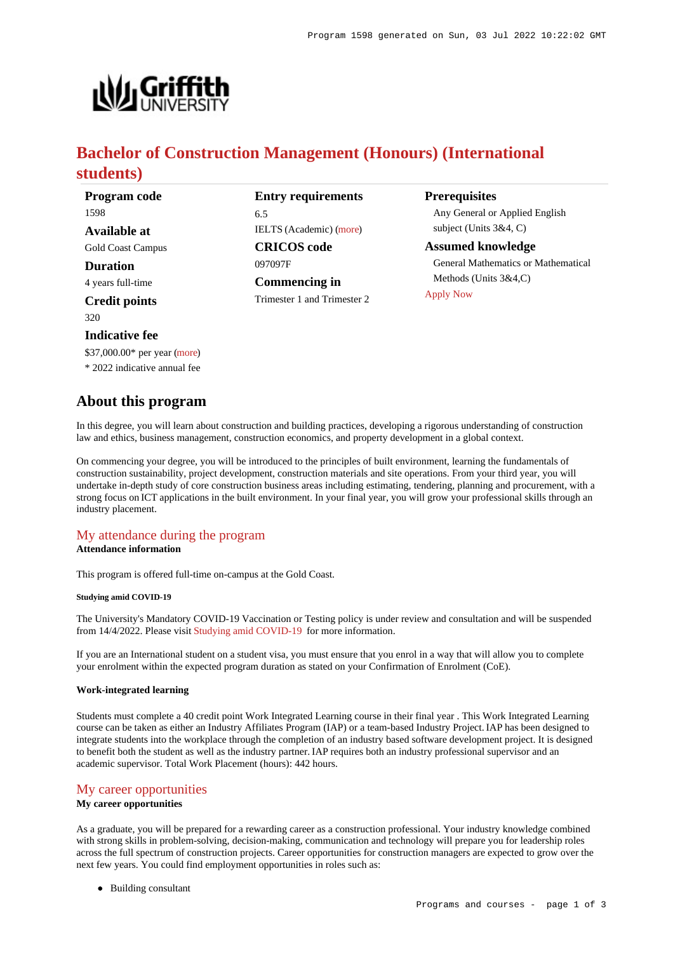

# **Bachelor of Construction Management (Honours) (International students)**

**Entry requirements**

IELTS (Academic) [\(more](https://www148.griffith.edu.au/programs-courses/Program/1598/HowToApply/International#language))

**CRICOS code**

**Commencing in** Trimester 1 and Trimester 2

6.5

097097F

**Program code** 1598 **Available at**

Gold Coast Campus

**Duration**

4 years full-time

**Credit points** 320

**Indicative fee**

\$37,000.00\* per year [\(more](https://www148.griffith.edu.au/programs-courses/Program/1598/Overview/International#fees))

\* 2022 indicative annual fee

# **About this program**

In this degree, you will learn about construction and building practices, developing a rigorous understanding of construction law and ethics, business management, construction economics, and property development in a global context.

On commencing your degree, you will be introduced to the principles of built environment, learning the fundamentals of construction sustainability, project development, construction materials and site operations. From your third year, you will undertake in-depth study of core construction business areas including estimating, tendering, planning and procurement, with a strong focus on ICT applications in the built environment. In your final year, you will grow your professional skills through an industry placement.

# [My attendance during the program](https://www148.griffith.edu.au/programs-courses/Program/1598/Overview/International#attendance)

# **Attendance information**

This program is offered full-time on-campus at the Gold Coast.

### **Studying amid COVID-19**

The University's Mandatory COVID-19 Vaccination or Testing policy is under review and consultation and will be suspended from 14/4/2022. Please visit [Studying amid COVID-19](https://www.griffith.edu.au/coronavirus/studying-amid-covid-19) for more information.

If you are an International student on a student visa, you must ensure that you enrol in a way that will allow you to complete your enrolment within the expected program duration as stated on your Confirmation of Enrolment (CoE).

### **Work-integrated learning**

Students must complete a 40 credit point Work Integrated Learning course in their final year . This Work Integrated Learning course can be taken as either an Industry Affiliates Program (IAP) or a team-based Industry Project. IAP has been designed to integrate students into the workplace through the completion of an industry based software development project. It is designed to benefit both the student as well as the industry partner. IAP requires both an industry professional supervisor and an academic supervisor. Total Work Placement (hours): 442 hours.

# [My career opportunities](https://www148.griffith.edu.au/programs-courses/Program/1598/Overview/International#opportunities)

# **My career opportunities**

As a graduate, you will be prepared for a rewarding career as a construction professional. Your industry knowledge combined with strong skills in problem-solving, decision-making, communication and technology will prepare you for leadership roles across the full spectrum of construction projects. Career opportunities for construction managers are expected to grow over the next few years. You could find employment opportunities in roles such as:

• Building consultant

# **Prerequisites**

Any General or Applied English subject (Units 3&4, C)

**Assumed knowledge** General Mathematics or Mathematical Methods (Units 3&4,C) [Apply Now](https://www148.griffith.edu.au/programs-courses/Program/1598/HowToApply/International#process)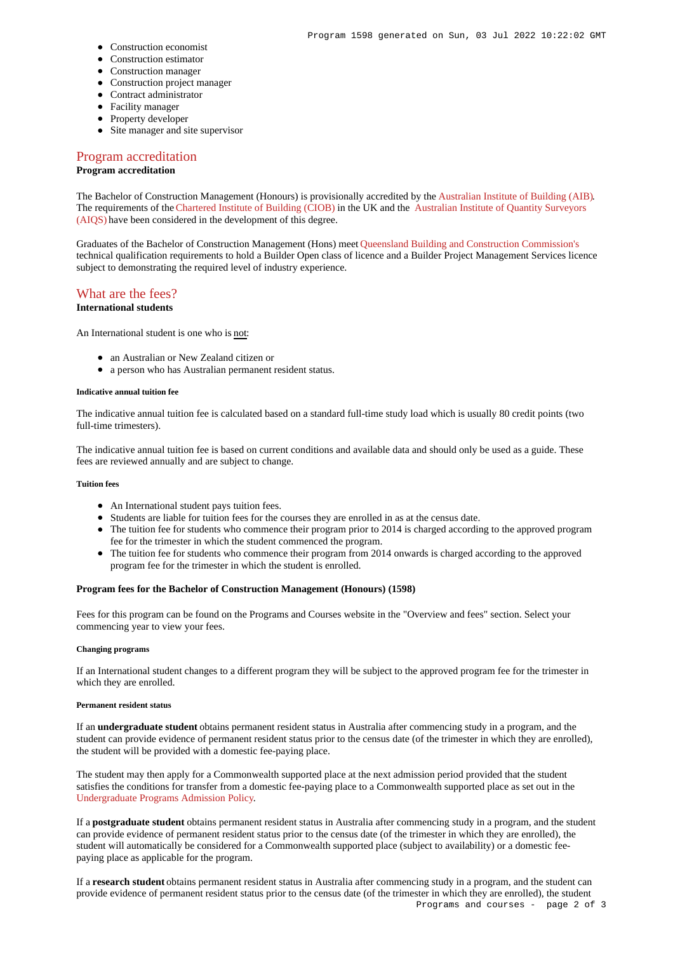- Construction economist
- Construction estimator
- Construction manager
- Construction project manager
- Contract administrator
- Facility manager
- Property developer
- Site manager and site supervisor

# [Program accreditation](https://www148.griffith.edu.au/programs-courses/Program/1598/Overview/International#accreditation)

# **Program accreditation**

The Bachelor of Construction Management (Honours) is provisionally accredited by the [Australian Institute of Building \(AIB\)](https://www.aib.org.au/). The requirements of the [Chartered Institute of Building \(CIOB\)](https://www.ciob.org/) in the UK and the [Australian Institute of Quantity Surveyors](https://www.aiqs.com.au/) [\(AIQS\)](https://www.aiqs.com.au/) have been considered in the development of this degree.

Graduates of the Bachelor of Construction Management (Hons) meet [Queensland Building and Construction Commission's](https://www.qbcc.qld.gov.au/) technical qualification requirements to hold a Builder Open class of licence and a Builder Project Management Services licence subject to demonstrating the required level of industry experience.

# [What are the fees?](https://www148.griffith.edu.au/programs-courses/Program/1598/Overview/International#fees)

# **International students**

An International student is one who is not:

- an Australian or New Zealand citizen or
- a person who has Australian permanent resident status.

#### **Indicative annual tuition fee**

The indicative annual tuition fee is calculated based on a standard full-time study load which is usually 80 credit points (two full-time trimesters).

The indicative annual tuition fee is based on current conditions and available data and should only be used as a guide. These fees are reviewed annually and are subject to change.

#### **Tuition fees**

- An International student pays tuition fees.
- Students are liable for tuition fees for the courses they are enrolled in as at the census date.
- The tuition fee for students who commence their program prior to 2014 is charged according to the approved program fee for the trimester in which the student commenced the program.
- The tuition fee for students who commence their program from 2014 onwards is charged according to the approved program fee for the trimester in which the student is enrolled.

#### **Program fees for the Bachelor of Construction Management (Honours) (1598)**

Fees for this program can be found on the Programs and Courses website in the "Overview and fees" section. Select your commencing year to view your fees.

#### **Changing programs**

If an International student changes to a different program they will be subject to the approved program fee for the trimester in which they are enrolled.

#### **Permanent resident status**

If an **undergraduate student** obtains permanent resident status in Australia after commencing study in a program, and the student can provide evidence of permanent resident status prior to the census date (of the trimester in which they are enrolled), the student will be provided with a domestic fee-paying place.

The student may then apply for a Commonwealth supported place at the next admission period provided that the student satisfies the conditions for transfer from a domestic fee-paying place to a Commonwealth supported place as set out in the [Undergraduate Programs Admission Policy](http://policies.griffith.edu.au/pdf/Undergraduate Programs Admission Policy.pdf).

If a **postgraduate student** obtains permanent resident status in Australia after commencing study in a program, and the student can provide evidence of permanent resident status prior to the census date (of the trimester in which they are enrolled), the student will automatically be considered for a Commonwealth supported place (subject to availability) or a domestic feepaying place as applicable for the program.

If a **research student** obtains permanent resident status in Australia after commencing study in a program, and the student can provide evidence of permanent resident status prior to the census date (of the trimester in which they are enrolled), the student Programs and courses - page 2 of 3